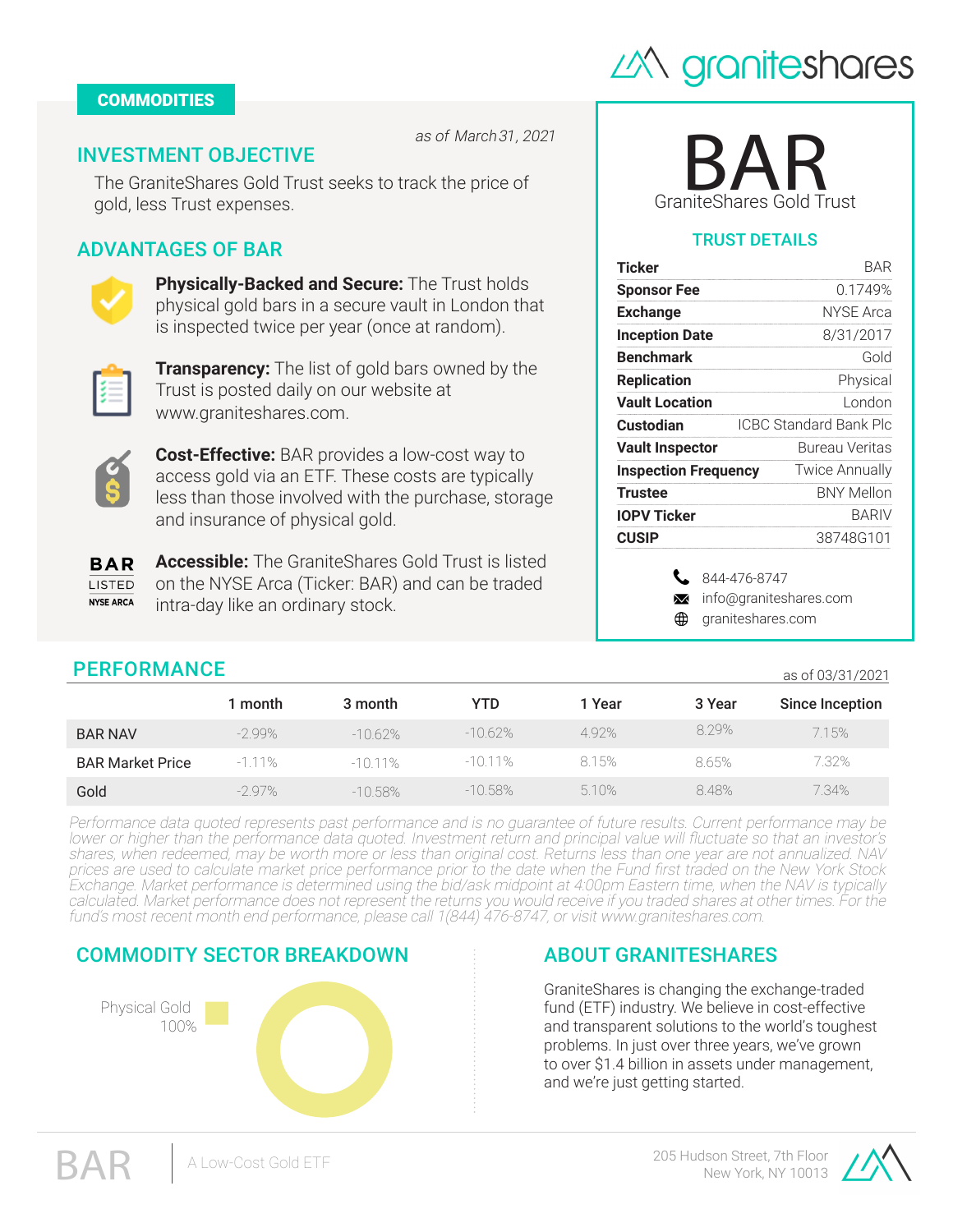

#### **COMMODITIES**

as of *March 31, 2022*

## INVESTMENT OBJECTIVE

The GraniteShares Gold Trust seeks to track the price of gold, less Trust expenses.

## ADVANTAGES OF BAR



**Physically-Backed and Secure:** The Trust holds physical gold bars in a secure vault in London that is inspected twice per year (once at random).



**Transparency:** The list of gold bars owned by the Trust is posted daily on our website at www.graniteshares.com.



**Cost-Effective:** BAR provides a low-cost way to access gold via an ETF. These costs are typically less than those involved with the purchase, storage and insurance of physical gold.

**Accessible:** The GraniteShares Gold Trust is listed **BAR** on the NYSE Arca (Ticker: BAR) and can be traded **LISTED NYSE ARCA** intra-day like an ordinary stock.

| <b>GraniteShares Gold Trust</b> |
|---------------------------------|

### TRUST DETAILS

| Ticker                      |                | BAR                    |  |  |
|-----------------------------|----------------|------------------------|--|--|
| <b>Sponsor Fee</b>          |                | 0.1749%                |  |  |
| <b>Exchange</b>             |                | NYSE Arca              |  |  |
| <b>Inception Date</b>       |                | 8/31/2017              |  |  |
| <b>Benchmark</b>            |                | Gold                   |  |  |
| <b>Replication</b>          |                | Physical               |  |  |
| <b>Vault Location</b>       |                | London                 |  |  |
| Custodian                   |                | ICBC Standard Bank Plc |  |  |
| <b>Vault Inspector</b>      | Bureau Veritas |                        |  |  |
| <b>Inspection Frequency</b> |                | <b>Twice Annually</b>  |  |  |
| <b>Trustee</b>              |                | <b>BNY Mellon</b>      |  |  |
| <b>IOPV Ticker</b>          |                | BARIV                  |  |  |
| <b>CUSIP</b>                |                | 38748G101              |  |  |
| $\bowtie$                   | 844-476-8747   | info@graniteshares.com |  |  |

 $\bigoplus$  graniteshares.com

**PERFORMANCE** as of 03/31/2022

|                         | 1 month | 3 month | YTD       | 1 Year    | 3 Year | Since Inception |  |  |  |
|-------------------------|---------|---------|-----------|-----------|--------|-----------------|--|--|--|
| <b>BAR NAV</b>          | 0.85%   | 4.39%   | $-3.92\%$ | $-3.92\%$ | 12.20% | 7.65%           |  |  |  |
| <b>BAR Market Price</b> | 3.30%   | 4.07%   | $-3.92\%$ | $-3.92\%$ | 12.37% | 7.65%           |  |  |  |
| Gold                    | 0.87%   | 4.44%   | $-3.75%$  | $-3.75%$  | 12.39% | 7.84%           |  |  |  |

Performance data quoted represents past performance and is no guarantee of future results. Current performance may be lower or higher than the performance data quoted. Investment return and principal value will fluctuate so that an investor's shares, when redeemed, may be worth more or less than original cost. Returns less than one year are not annualized. NAV prices are used to calculate market price performance prior to the date when the Fund first traded on the New York Stock Exchange. Market performance is determined using the bid/ask midpoint at 4:00pm Eastern time, when the NAV is typically calculated. Market performance does not represent the returns you would receive if you traded shares at other times. For the fund's most recent month end performance, please call 1(844) 476-8747, or visit www.graniteshares.com.



## ABOUT GRANITESHARES

GraniteShares is changing the exchange-traded fund (ETF) industry. We believe in cost-effective and transparent solutions to the world's toughest problems. In just over three years, we've grown to over \$1.6 billion in assets under management, and we're just getting started.